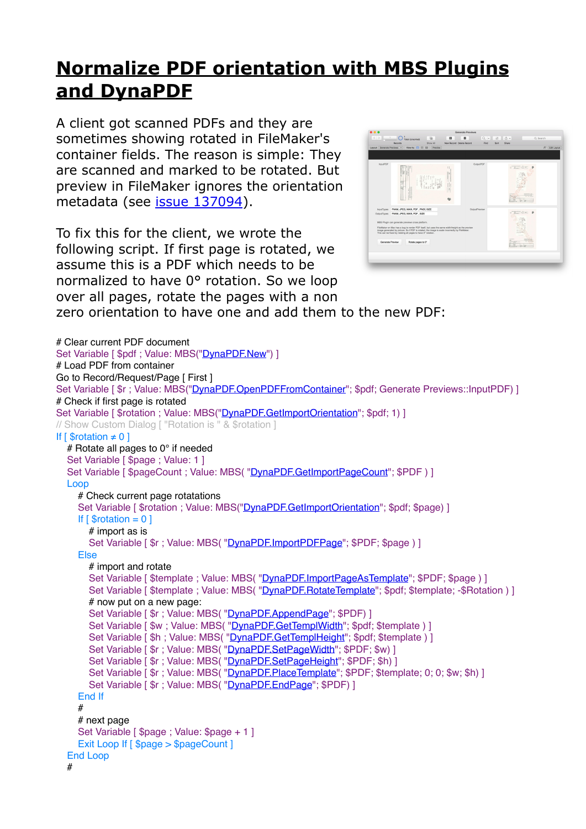## **[Normalize PDF orientation with MBS Plugins](https://www.mbs-plugins.com/archive/2018-03-09/Normalize_PDF_orientation_with/monkeybreadsoftware_blog_filemaker)  [and DynaPDF](https://www.mbs-plugins.com/archive/2018-03-09/Normalize_PDF_orientation_with/monkeybreadsoftware_blog_filemaker)**

A client got scanned PDFs and they are sometimes showing rotated in FileMaker's container fields. The reason is simple: They are scanned and marked to be rotated. But preview in FileMaker ignores the orientation metadata (see [issue 137094](https://community.filemaker.com/thread/137094)).

To fix this for the client, we wrote the following script. If first page is rotated, we assume this is a PDF which needs to be normalized to have 0° rotation. So we loop over all pages, rotate the pages with a non zero orientation to have one and add them to the new PDF:



# Clear current PDF document Set Variable [ \$pdf ; Value: MBS("[DynaPDF.New"](http://www.mbsplugins.eu/DynaPDFNew.shtml)) ] # Load PDF from container Go to Record/Request/Page [ First ] Set Variable [\$r : Value: MBS(["DynaPDF.OpenPDFFromContainer](http://www.mbsplugins.eu/DynaPDFOpenPDFFromContainer.shtml)"; \$pdf; Generate Previews::InputPDF) ] # Check if first page is rotated Set Variable [ \$rotation ; Value: MBS(["DynaPDF.GetImportOrientation](http://www.mbsplugins.eu/DynaPDFGetImportOrientation.shtml)"; \$pdf; 1) ] // Show Custom Dialog [ "Rotation is " & \$rotation ] If  $\lceil$  \$rotation  $\neq$  0 ] # Rotate all pages to 0° if needed Set Variable [ \$page ; Value: 1 ] Set Variable [ \$pageCount ; Value: MBS( "DvnaPDF.GetImportPageCount"; \$PDF ) ] Loop # Check current page rotatations Set Variable [ \$rotation ; Value: MBS(["DynaPDF.GetImportOrientation"](http://www.mbsplugins.eu/DynaPDFGetImportOrientation.shtml); \$pdf; \$page) ] If  $\lceil$  \$rotation = 0  $\rceil$  # import as is Set Variable [\$r; Value: MBS(["DynaPDF.ImportPDFPage](http://www.mbsplugins.eu/DynaPDFImportPDFPage.shtml)"; \$PDF; \$page ) ] Else # import and rotate Set Variable [ \$template ; Value: MBS( ["DynaPDF.ImportPageAsTemplate](http://www.mbsplugins.eu/DynaPDFImportPageAsTemplate.shtml)"; \$PDF; \$page ) ] Set Variable [ \$template ; Value: MBS( ["DynaPDF.RotateTemplate](http://www.mbsplugins.eu/DynaPDFRotateTemplate.shtml)"; \$pdf; \$template; -\$Rotation ) ] # now put on a new page: Set Variable [  $\frac{1}{2}r$  ; Value: MBS( ["DynaPDF.AppendPage](http://www.mbsplugins.eu/DynaPDFAppendPage.shtml)"; \$PDF) ] Set Variable [\$w ; Value: MBS( ["DynaPDF.GetTemplWidth](http://www.mbsplugins.eu/DynaPDFGetTemplWidth.shtml)"; \$pdf; \$template ) ] Set Variable [\$h; Value: MBS(["DynaPDF.GetTemplHeight](http://www.mbsplugins.eu/DynaPDFGetTemplHeight.shtml)"; \$pdf; \$template ) ] Set Variable [  $r : Value$ : MBS( ["DynaPDF.SetPageWidth](http://www.mbsplugins.eu/DynaPDFSetPageWidth.shtml)"; \$PDF; \$w) ] Set Variable [  $r$  ; Value: MBS( ["DynaPDF.SetPageHeight](http://www.mbsplugins.eu/DynaPDFSetPageHeight.shtml)"; \$PDF; \$h) ] Set Variable [\$r; Value: MBS(["DynaPDF.PlaceTemplate"](http://www.mbsplugins.eu/DynaPDFPlaceTemplate.shtml); \$PDF; \$template; 0; 0; \$w; \$h) ] Set Variable [  $sr : Value : MBS("DvnaPDF. EndPaae": SPDF) 1$  End If # # next page Set Variable [ \$page ; Value: \$page + 1 ] Exit Loop If [ \$page > \$pageCount ] End Loop #